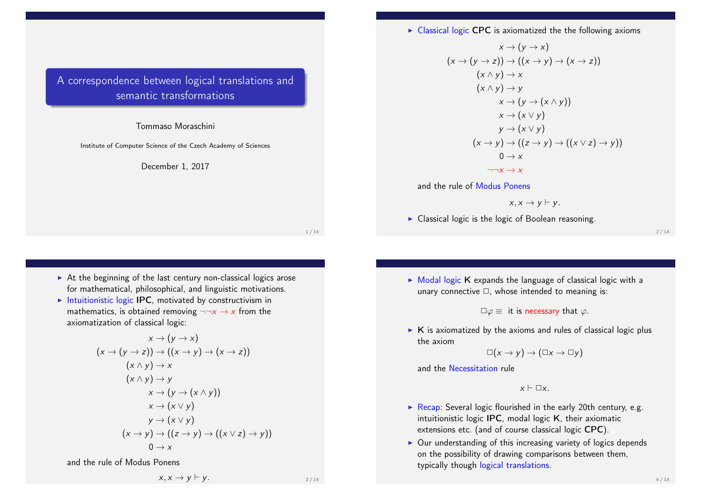$\triangleright$  Classical logic CPC is axiomatized the the following axioms

A correspondence between logical translations and semantic transformations

#### Tommaso Moraschini

Institute of Computer Science of the Czech Academy of Sciences

December 1, 2017

$$
x \rightarrow (y \rightarrow x)
$$
\n
$$
(x \rightarrow (y \rightarrow z)) \rightarrow ((x \rightarrow y) \rightarrow (x \rightarrow z))
$$
\n
$$
(x \land y) \rightarrow x
$$
\n
$$
(x \land y) \rightarrow y
$$
\n
$$
x \rightarrow (y \rightarrow (x \land y))
$$
\n
$$
x \rightarrow (x \lor y)
$$
\n
$$
y \rightarrow (x \lor y)
$$
\n
$$
(x \rightarrow y) \rightarrow ((z \rightarrow y) \rightarrow ((x \lor z) \rightarrow y))
$$
\n
$$
0 \rightarrow x
$$
\n
$$
\neg\neg x \rightarrow x
$$

and the rule of Modus Ponens

$$
x, x \rightarrow y \vdash y.
$$

 $\triangleright$  Classical logic is the logic of Boolean reasoning.

 $2/14$ 

- $\triangleright$  At the beginning of the last century non-classical logics arose for mathematical, philosophical, and linguistic motivations.
- Intuitionistic logic IPC, motivated by constructivism in mathematics, is obtained removing  $\neg\neg x \rightarrow x$  from the axiomatization of classical logic:

$$
x \rightarrow (y \rightarrow x)
$$
\n
$$
(x \rightarrow (y \rightarrow z)) \rightarrow ((x \rightarrow y) \rightarrow (x \rightarrow z))
$$
\n
$$
(x \land y) \rightarrow x
$$
\n
$$
(x \land y) \rightarrow y
$$
\n
$$
x \rightarrow (y \rightarrow (x \land y))
$$
\n
$$
x \rightarrow (x \lor y)
$$
\n
$$
y \rightarrow (x \lor y)
$$
\n
$$
(x \rightarrow y) \rightarrow ((z \rightarrow y) \rightarrow ((x \lor z) \rightarrow y))
$$
\n
$$
0 \rightarrow x
$$

and the rule of Modus Ponens

$$
x, x \to y \vdash y.
$$

1 / 14

- $\triangleright$  Modal logic K expands the language of classical logic with a unary connective  $\Box$ , whose intended to meaning is:
	- $\square \varphi \equiv i\mathsf{t}$  is necessary that  $\varphi$ .
- $\triangleright$  K is axiomatized by the axioms and rules of classical logic plus the axiom

$$
\Box(x \to y) \to (\Box x \to \Box y)
$$

and the Necessitation rule

$$
x \vdash \Box x.
$$

- Recap: Several logic flourished in the early 20th century, e.g. intuitionistic logic IPC, modal logic K, their axiomatic extensions etc. (and of course classical logic CPC).
- $\triangleright$  Our understanding of this increasing variety of logics depends on the possibility of drawing comparisons between them, typically though logical translations.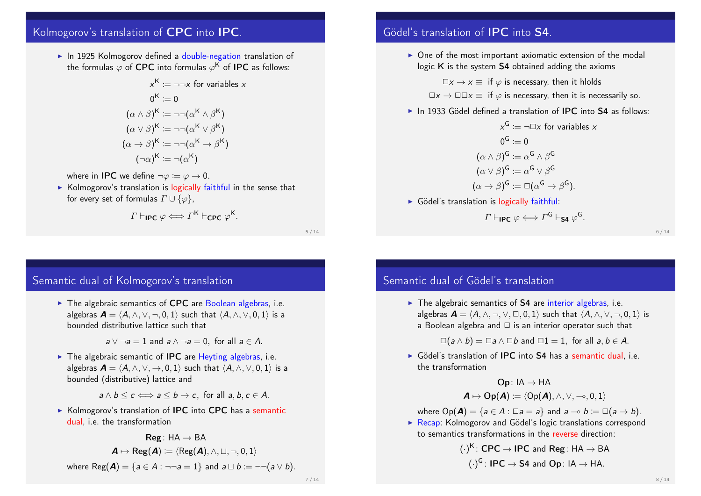# Kolmogorov's translation of CPC into IPC.

 $\blacktriangleright$  In 1925 Kolmogorov defined a double-negation translation of the formulas  $\varphi$  of <code>CPC</code> into formulas  $\varphi^\mathsf{K}$  of <code>IPC</code> as follows:

$$
x^{K} := \neg\neg x \text{ for variables } x
$$

$$
0^{K} := 0
$$

$$
(\alpha \wedge \beta)^{K} := \neg\neg(\alpha^{K} \wedge \beta^{K})
$$

$$
(\alpha \vee \beta)^{K} := \neg\neg(\alpha^{K} \vee \beta^{K})
$$

$$
(\alpha \rightarrow \beta)^{K} := \neg\neg(\alpha^{K} \rightarrow \beta^{K})
$$

$$
(\neg\alpha)^{K} := \neg(\alpha^{K})
$$

where in **IPC** we define  $\neg \varphi := \varphi \rightarrow 0$ .

 $\triangleright$  Kolmogorov's translation is logically faithful in the sense that for every set of formulas  $\Gamma \cup {\emptyset}$ .

$$
\Gamma \vdash_{\mathsf{IPC}} \varphi \Longleftrightarrow \Gamma^{\mathsf{K}} \vdash_{\mathsf{CPC}} \varphi^{\mathsf{K}}.
$$

5 / 14

## Semantic dual of Kolmogorov's translation

 $\blacktriangleright$  The algebraic semantics of CPC are Boolean algebras, i.e. algebras  $\mathbf{A} = \langle A, \wedge, \vee, \neg, 0, 1 \rangle$  such that  $\langle A, \wedge, \vee, 0, 1 \rangle$  is a bounded distributive lattice such that

 $a \vee \neg a = 1$  and  $a \wedge \neg a = 0$ , for all  $a \in A$ .

 $\triangleright$  The algebraic semantic of **IPC** are Heyting algebras, i.e. algebras  $\mathbf{A} = \langle A, \wedge, \vee, \to, 0, 1 \rangle$  such that  $\langle A, \wedge, \vee, 0, 1 \rangle$  is a bounded (distributive) lattice and

 $a \wedge b \leq c \Longleftrightarrow a \leq b \rightarrow c$ , for all  $a, b, c \in A$ .

 $\triangleright$  Kolmogorov's translation of **IPC** into CPC has a semantic dual, i.e. the transformation

| Reg: HA → BA                                                                                     |
|--------------------------------------------------------------------------------------------------|
| $A \mapsto \text{Reg}(A) := \langle \text{Reg}(A), \land, \Box, \neg, 0, 1 \rangle$              |
| where $\text{Reg}(A) = \{a \in A : \neg \neg a = 1\}$ and $a \sqcup b := \neg \neg (a \lor b)$ . |

# Gödel's translation of IPC into S4.

 $\triangleright$  One of the most important axiomatic extension of the modal logic K is the system S4 obtained adding the axioms

 $\Box x \rightarrow x \equiv$  if  $\varphi$  is necessary, then it hlolds

- $\Box x \rightarrow \Box \Box x \equiv$  if  $\varphi$  is necessary, then it is necessarily so.
- $\blacktriangleright$  In 1933 Gödel defined a translation of IPC into S4 as follows:

 $x^{\mathsf{G}} \coloneqq \neg \Box x$  for variables  $x$  $0^{\mathsf{G}} \coloneqq 0$  $(\alpha\wedge\beta)^\mathsf{G} \coloneqq \alpha^\mathsf{G} \wedge \beta^\mathsf{G}$  $(\alpha\vee\beta)^{\mathsf{G}}\coloneqq\alpha^{\mathsf{G}}\vee\beta^{\mathsf{G}}$  $(\alpha \to \beta)^G \coloneqq \Box(\alpha^G \to \beta^G).$ 

 $\triangleright$  Gödel's translation is logically faithful:

$$
\varGamma\vdash_{\mathsf{IPC}}\varphi\Longleftrightarrow\varGamma^{\mathsf{G}}\vdash_{\mathsf{S4}}\varphi^{\mathsf{G}}.
$$

6 / 14

### Semantic dual of Gödel's translation

 $\triangleright$  The algebraic semantics of S4 are interior algebras, i.e. algebras  $\mathbf{A} = \langle A, \wedge, \neg, \vee, \Box, 0, 1 \rangle$  such that  $\langle A, \wedge, \vee, \neg, 0, 1 \rangle$  is a Boolean algebra and  $\Box$  is an interior operator such that

 $\square(a \wedge b) = \square a \wedge \square b$  and  $\square 1 = 1$ , for all  $a, b \in A$ .

 $\triangleright$  Gödel's translation of IPC into S4 has a semantic dual, i.e. the transformation

 $\mathsf{Op} : \mathsf{IA} \to \mathsf{HA}$ 

$$
\textbf{\textit{A}} \mapsto \text{Op}(\textbf{\textit{A}}) \coloneqq \langle \text{Op}(\textbf{\textit{A}}), \wedge, \vee, \multimap, 0, 1 \rangle
$$

where  $Op(\mathbf{A}) = \{a \in A : \square a = a\}$  and  $a \multimap b := \square(a \rightarrow b).$ 

 $\triangleright$  Recap: Kolmogorov and Gödel's logic translations correspond to semantics transformations in the reverse direction:

$$
(\cdot)^K : \text{CPC} \to \text{IPC}
$$
 and Reg: HA  $\to$  BA  
 $(\cdot)^G : \text{IPC} \to \text{S4}$  and Op: IA  $\to$  HA.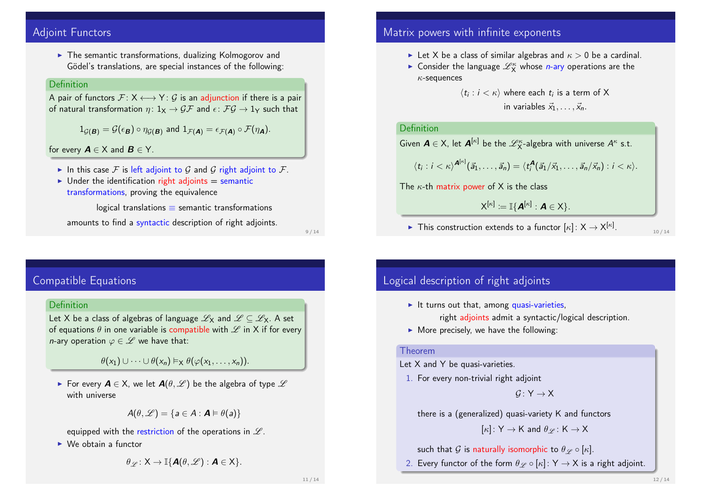## Adjoint Functors

 $\blacktriangleright$  The semantic transformations, dualizing Kolmogorov and Gödel's translations, are special instances of the following:

### Definition

A pair of functors  $\mathcal{F}: X \longleftrightarrow Y: \mathcal{G}$  is an adjunction if there is a pair of natural transformation  $\eta: 1_X \to \mathcal{GF}$  and  $\epsilon: \mathcal{FG} \to 1_Y$  such that

$$
1_{\mathcal{G}(\mathbf{B})} = \mathcal{G}(\epsilon_{\mathbf{B}}) \circ \eta_{\mathcal{G}(\mathbf{B})} \text{ and } 1_{\mathcal{F}(\mathbf{A})} = \epsilon_{\mathcal{F}(\mathbf{A})} \circ \mathcal{F}(\eta_{\mathbf{A}}).
$$

for every  $A \in X$  and  $B \in Y$ .

- In this case F is left adjoint to G and G right adjoint to F.
- $\triangleright$  Under the identification right adjoints = semantic transformations, proving the equivalence

logical translations  $\equiv$  semantic transformations amounts to find a syntactic description of right adjoints.

9 / 14

# Compatible Equations

### Definition

Let X be a class of algebras of language  $\mathscr{L}_X$  and  $\mathscr{L} \subset \mathscr{L}_X$ . A set of equations  $\theta$  in one variable is compatible with  $\mathscr L$  in X if for every *n*-ary operation  $\varphi \in \mathscr{L}$  we have that:

 $\theta(x_1) \cup \cdots \cup \theta(x_n) \vDash_{\mathsf{X}} \theta(\varphi(x_1, \ldots, x_n))$ 

For every  $A \in X$ , we let  $A(\theta, \mathcal{L})$  be the algebra of type  $\mathcal{L}$ with universe

$$
A(\theta,\mathscr{L})=\{a\in A:\boldsymbol{A}\vDash\theta(a)\}
$$

equipped with the restriction of the operations in  $\mathscr L$ .

 $\triangleright$  We obtain a functor

$$
\theta_{\mathscr{L}}\colon \mathsf{X}\to \mathbb{I}\{\textbf{A}(\theta,\mathscr{L}) : \textbf{A}\in \mathsf{X}\}.
$$

## Matrix powers with infinite exponents

- In Let X be a class of similar algebras and  $\kappa > 0$  be a cardinal.
- **Consider the language**  $\mathcal{L}_X^{\kappa}$  **whose** *n***-ary operations are the**  $\kappa$ -sequences

 $\langle t_i : i < \kappa \rangle$  where each  $t_i$  is a term of X in variables  $\vec{x}_1, \ldots, \vec{x}_n$ .

### Definition

Given  $A \in X$ , let  $A^{[\kappa]}$  be the  $\mathscr{L}^{\kappa}_{X}$ -algebra with universe  $A^{\kappa}$  s.t.

$$
\langle t_i : i < \kappa \rangle^{\mathbf{A}^{[\kappa]}}(\vec{a}_1, \ldots, \vec{a}_n) = \langle t_i^{\mathbf{A}}(\vec{a}_1/\vec{x}_1, \ldots, \vec{a}_n/\vec{x}_n) : i < \kappa \rangle.
$$

The  $\kappa$ -th matrix power of X is the class

$$
X^{[\kappa]}:=\mathbb{I}\{\boldsymbol{A}^{[\kappa]}:\boldsymbol{A}\in X\}.
$$

► This construction extends to a functor  $[\kappa]: X \rightarrow X^{[\kappa]}$ .

10 / 14

# Logical description of right adjoints

- $\blacktriangleright$  It turns out that, among quasi-varieties, right adjoints admit a syntactic/logical description.
- $\triangleright$  More precisely, we have the following:

#### Theorem

Let X and Y be quasi-varieties.

1. For every non-trivial right adjoint

 $G: Y \rightarrow X$ 

there is a (generalized) quasi-variety K and functors

$$
[\kappa]\colon \mathsf{Y}\to \mathsf{K} \text{ and } \theta_{\mathscr{L}}\colon \mathsf{K}\to \mathsf{X}
$$

such that G is naturally isomorphic to  $\theta_{\mathscr{L}} \circ [\kappa]$ .

2. Every functor of the form  $\theta \varphi \circ [\kappa] : Y \to X$  is a right adjoint.